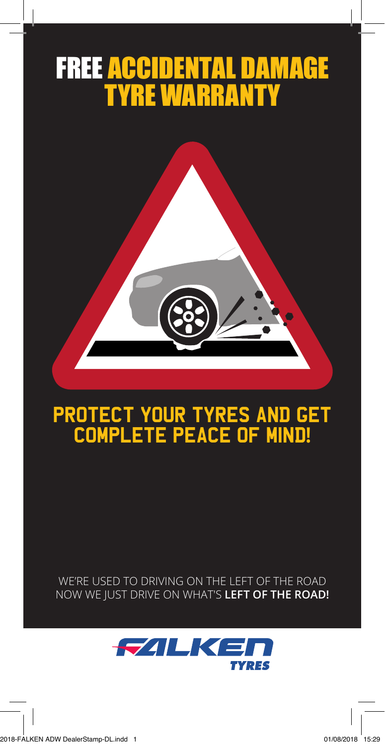# FREE ACCIDENTAL DAMAGE TYRE WARRANTY



## Protect your tyres and get complete peace of mind**!**

WE'RE USED TO DRIVING ON THE LEFT OF THE ROAD NOW WE JUST DRIVE ON WHAT'S **LEFT OF THE ROAD!**

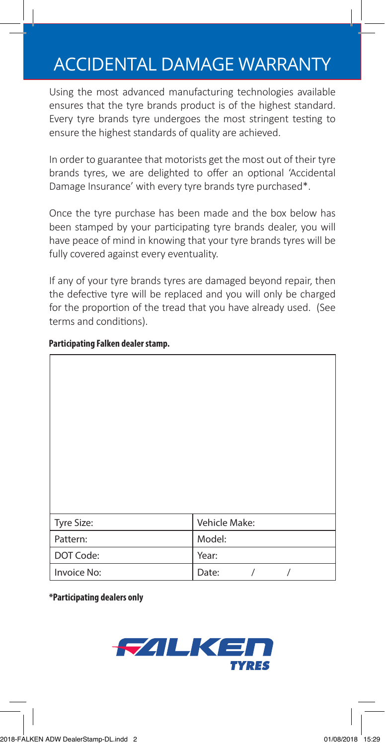### ACCIDENTAL DAMAGE WARRANTY

Using the most advanced manufacturing technologies available ensures that the tyre brands product is of the highest standard. Every tyre brands tyre undergoes the most stringent testing to ensure the highest standards of quality are achieved.

In order to guarantee that motorists get the most out of their tyre brands tyres, we are delighted to offer an optional 'Accidental Damage Insurance' with every tyre brands tyre purchased\*.

Once the tyre purchase has been made and the box below has been stamped by your participating tyre brands dealer, you will have peace of mind in knowing that your tyre brands tyres will be fully covered against every eventuality.

If any of your tyre brands tyres are damaged beyond repair, then the defective tyre will be replaced and you will only be charged for the proportion of the tread that you have already used. (See terms and conditions).

| Tyre Size:  | Vehicle Make:            |
|-------------|--------------------------|
| Pattern:    | Model:                   |
| DOT Code:   | Year:                    |
| Invoice No: | Date:<br>$\sqrt{2}$<br>/ |

### **Participating Falken dealer stamp.**

**\*Participating dealers only**

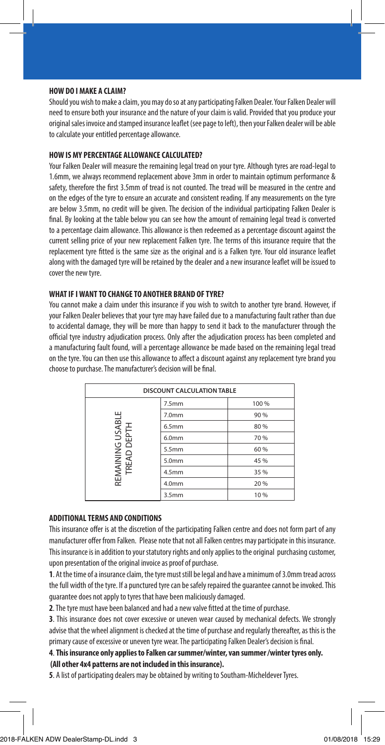#### **HOW DO I MAKE A CLAIM?**

Should you wish to make a claim, you may do so at any participating Falken Dealer. Your Falken Dealer will need to ensure both your insurance and the nature of your claim is valid. Provided that you produce your original sales invoice and stamped insurance leaflet (see page to left), then your Falken dealer will be able to calculate your entitled percentage allowance.

#### **HOW IS MY PERCENTAGE ALLOWANCE CALCULATED?**

Your Falken Dealer will measure the remaining legal tread on your tyre. Although tyres are road-legal to 1.6mm, we always recommend replacement above 3mm in order to maintain optimum performance & safety, therefore the first 3.5mm of tread is not counted. The tread will be measured in the centre and on the edges of the tyre to ensure an accurate and consistent reading. If any measurements on the tyre are below 3.5mm, no credit will be given. The decision of the individual participating Falken Dealer is final. By looking at the table below you can see how the amount of remaining legal tread is converted to a percentage claim allowance. This allowance is then redeemed as a percentage discount against the current selling price of your new replacement Falken tyre. The terms of this insurance require that the replacement tyre fitted is the same size as the original and is a Falken tyre. Your old insurance leaflet along with the damaged tyre will be retained by the dealer and a new insurance leaflet will be issued to cover the new tyre.

#### **WHAT IF I WANT TO CHANGE TO ANOTHER BRAND OF TYRE?**

You cannot make a claim under this insurance if you wish to switch to another tyre brand. However, if your Falken Dealer believes that your tyre may have failed due to a manufacturing fault rather than due to accidental damage, they will be more than happy to send it back to the manufacturer through the official tyre industry adjudication process. Only after the adjudication process has been completed and a manufacturing fault found, will a percentage allowance be made based on the remaining legal tread on the tyre. You can then use this allowance to affect a discount against any replacement tyre brand you choose to purchase. The manufacturer's decision will be final.

| <b>DISCOUNT CALCULATION TABLE</b> |                   |       |
|-----------------------------------|-------------------|-------|
|                                   | 7.5 <sub>mm</sub> | 100 % |
| REMAINING USABLE<br>TREAD DEPTH   | 7.0 <sub>mm</sub> | 90 %  |
|                                   | 6.5mm             | 80 %  |
|                                   | 6.0 <sub>mm</sub> | 70 %  |
|                                   | 5.5mm             | 60 %  |
|                                   | 5.0mm             | 45 %  |
|                                   | 4.5 <sub>mm</sub> | 35 %  |
|                                   | 4.0 <sub>mm</sub> | 20 %  |
|                                   | 3.5 <sub>mm</sub> | 10%   |

#### **ADDITIONAL TERMS AND CONDITIONS**

This insurance offer is at the discretion of the participating Falken centre and does not form part of any manufacturer offer from Falken. Please note that not all Falken centres may participate in this insurance. This insurance is in addition to your statutory rights and only applies to the original purchasing customer, upon presentation of the original invoice as proof of purchase.

**1**. At the time of a insurance claim, the tyre must still be legal and have a minimum of 3.0mm tread across the full width of the tyre. If a punctured tyre can be safely repaired the guarantee cannot be invoked. This guarantee does not apply to tyres that have been maliciously damaged.

**2**. The tyre must have been balanced and had a new valve fitted at the time of purchase.

**3**. This insurance does not cover excessive or uneven wear caused by mechanical defects. We strongly advise that the wheel alignment is checked at the time of purchase and regularly thereafter, as this is the primary cause of excessive or uneven tyre wear. The participating Falken Dealer's decision is final.

#### **4**. **This insurance only applies to Falken car summer/winter, van summer /winter tyres only. (All other 4x4 patterns are not included in this insurance).**

**5**. A list of participating dealers may be obtained by writing to Southam-Micheldever Tyres.